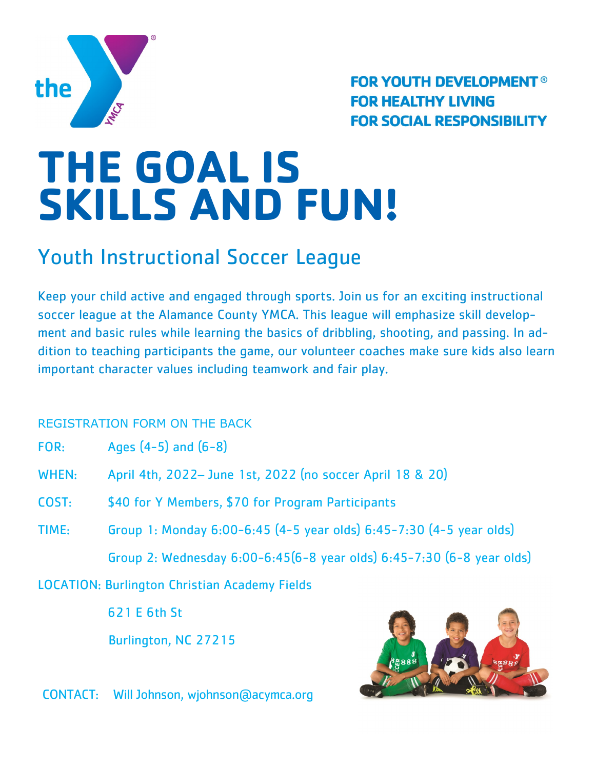

**FOR YOUTH DEVELOPMENT® FOR HEALTHY LIVING FOR SOCIAL RESPONSIBILITY** 

# **THE GOAL IS SKILLS AND FUN!**

## Youth Instructional Soccer League

Keep your child active and engaged through sports. Join us for an exciting instructional soccer league at the Alamance County YMCA. This league will emphasize skill development and basic rules while learning the basics of dribbling, shooting, and passing. In addition to teaching participants the game, our volunteer coaches make sure kids also learn important character values including teamwork and fair play.

#### REGISTRATION FORM ON THE BACK

| FOR: | Ages (4-5) and (6-8) |  |  |  |  |
|------|----------------------|--|--|--|--|
|------|----------------------|--|--|--|--|

- WHEN: April 4th, 2022– June 1st, 2022 (no soccer April 18 & 20)
- COST: \$40 for Y Members, \$70 for Program Participants
- TIME: Group 1: Monday 6:00-6:45 (4-5 year olds) 6:45-7:30 (4-5 year olds) Group 2: Wednesday 6:00-6:45(6-8 year olds) 6:45-7:30 (6-8 year olds)

LOCATION: Burlington Christian Academy Fields

621 E 6th St

Burlington, NC 27215



CONTACT: Will Johnson, wjohnson@acymca.org